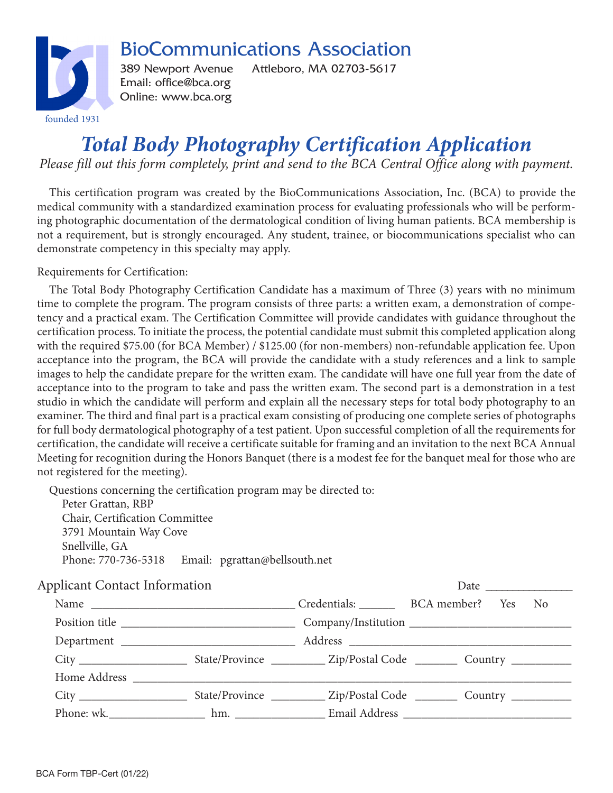

BioCommunications Association

389 Newport Avenue Attleboro, MA 02703-5617 Email: office@bca.org Online: www.bca.org

## *Total Body Photography Certification Application*

*Please fill out this form completely, print and send to the BCA Central Office along with payment.*

This certification program was created by the BioCommunications Association, Inc. (BCA) to provide the medical community with a standardized examination process for evaluating professionals who will be performing photographic documentation of the dermatological condition of living human patients. BCA membership is not a requirement, but is strongly encouraged. Any student, trainee, or biocommunications specialist who can demonstrate competency in this specialty may apply.

Requirements for Certification:

The Total Body Photography Certification Candidate has a maximum of Three (3) years with no minimum time to complete the program. The program consists of three parts: a written exam, a demonstration of competency and a practical exam. The Certification Committee will provide candidates with guidance throughout the certification process. To initiate the process, the potential candidate must submit this completed application along with the required \$75.00 (for BCA Member) / \$125.00 (for non-members) non-refundable application fee. Upon acceptance into the program, the BCA will provide the candidate with a study references and a link to sample images to help the candidate prepare for the written exam. The candidate will have one full year from the date of acceptance into to the program to take and pass the written exam. The second part is a demonstration in a test studio in which the candidate will perform and explain all the necessary steps for total body photography to an examiner. The third and final part is a practical exam consisting of producing one complete series of photographs for full body dermatological photography of a test patient. Upon successful completion of all the requirements for certification, the candidate will receive a certificate suitable for framing and an invitation to the next BCA Annual Meeting for recognition during the Honors Banquet (there is a modest fee for the banquet meal for those who are not registered for the meeting).

Questions concerning the certification program may be directed to:

Peter Grattan, RBP Chair, Certification Committee 3791 Mountain Way Cove Snellville, GA Phone: 770-736-5318 Email: pgrattan@bellsouth.net

| <b>Applicant Contact Information</b> |                                                                                                                                                                                                                               |  |  |  |
|--------------------------------------|-------------------------------------------------------------------------------------------------------------------------------------------------------------------------------------------------------------------------------|--|--|--|
|                                      |                                                                                                                                                                                                                               |  |  |  |
|                                      |                                                                                                                                                                                                                               |  |  |  |
|                                      | Department                                                                                                                                                                                                                    |  |  |  |
|                                      |                                                                                                                                                                                                                               |  |  |  |
|                                      | Home Address North Communication and the Marian Communication and the Marian Communication and the Marian Communication and the Marian Communication and the Marian Communication and the Marian Communication and the Marian |  |  |  |
|                                      |                                                                                                                                                                                                                               |  |  |  |
|                                      |                                                                                                                                                                                                                               |  |  |  |